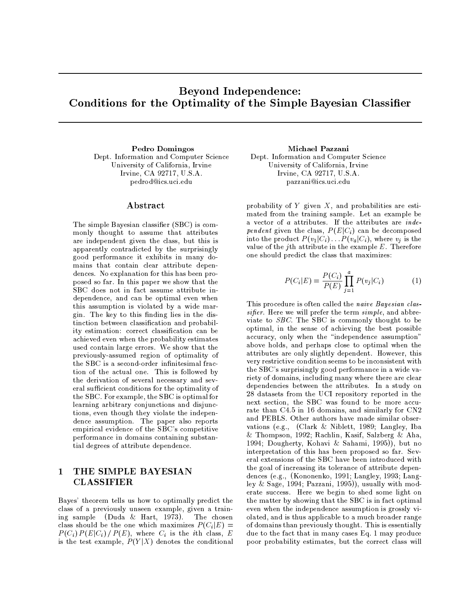# **Beyond Independence:** Conditions for the Optimality of the Simple Bayesian Classifier

Pedro Domingos Dept. Information and Computer Science University of California, Irvine Irvine, CA 92717, U.S.A. pedrod@ics.uci.edu

## ${\bf Abstract}$

The simple Bayesian classifier (SBC) is commonly thought to assume that attributes are independent given the class, but this is apparently contradicted by the surprisingly good performance it exhibits in many domains that contain clear attribute dependences. No explanation for this has been proposed so far. In this paper we show that the SBC does not in fact assume attribute independence, and can be optimal even when this assumption is violated by a wide margin. The key to this finding lies in the distinction between classification and probability estimation: correct classification can be achieved even when the probability estimates used contain large errors. We show that the previously-assumed region of optimality of the SBC is a second-order infinitesimal fraction of the actual one. This is followed by the derivation of several necessary and several sufficient conditions for the optimality of the SBC. For example, the SBC is optimal for learning arbitrary conjunctions and disjunctions, even though they violate the independence assumption. The paper also reports empirical evidence of the SBC's competitive performance in domains containing substantial degrees of attribute dependence.

### THE SIMPLE BAYESIAN  $\mathbf{1}$ **CLASSIFIER**

Bayes' theorem tells us how to optimally predict the class of a previously unseen example, given a training sample (Duda & Hart, 1973). The chosen class should be the one which maximizes  $P(C_i|E)$  =  $P(C_i) P(E|C_i) / P(E)$ , where  $C_i$  is the *i*th class, E is the test example,  $P(Y|X)$  denotes the conditional

Michael Pazzani Dept. Information and Computer Science University of California, Irvine Irvine, CA 92717, U.S.A. pazzani@ics.uci.edu

probability of  $Y$  given  $X$ , and probabilities are estimated from the training sample. Let an example be a vector of a attributes. If the attributes are *inde*pendent given the class,  $P(E|C_i)$  can be decomposed into the product  $P(v_1|C_i) \dots P(v_a|C_i)$ , where  $v_i$  is the value of the jth attribute in the example  $E$ . Therefore one should predict the class that maximizes:

$$
P(C_i|E) = \frac{P(C_i)}{P(E)} \prod_{j=1}^{a} P(v_j|C_i)
$$
 (1)

This procedure is often called the naive Bayesian classifier. Here we will prefer the term simple, and abbreviate to SBC. The SBC is commonly thought to be optimal, in the sense of achieving the best possible accuracy, only when the "independence assumption" above holds, and perhaps close to optimal when the attributes are only slightly dependent. However, this very restrictive condition seems to be inconsistent with the SBC's surprisingly good performance in a wide variety of domains, including many where there are clear dependencies between the attributes. In a study on 28 datasets from the UCI repository reported in the next section, the SBC was found to be more accurate than C4.5 in 16 domains, and similarly for CN2 and PEBLS. Other authors have made similar observations (e.g., (Clark & Niblett, 1989; Langley, Iba & Thompson, 1992; Rachlin, Kasif, Salzberg & Aha, 1994; Dougherty, Kohavi & Sahami, 1995)), but no interpretation of this has been proposed so far. Several extensions of the SBC have been introduced with the goal of increasing its tolerance of attribute dependences (e.g., (Kononenko, 1991; Langley, 1993; Langley & Sage, 1994; Pazzani, 1995)), usually with moderate success. Here we begin to shed some light on the matter by showing that the SBC is in fact optimal even when the independence assumption is grossly violated, and is thus applicable to a much broader range of domains than previously thought. This is essentially due to the fact that in many cases Eq. 1 may produce poor probability estimates, but the correct class will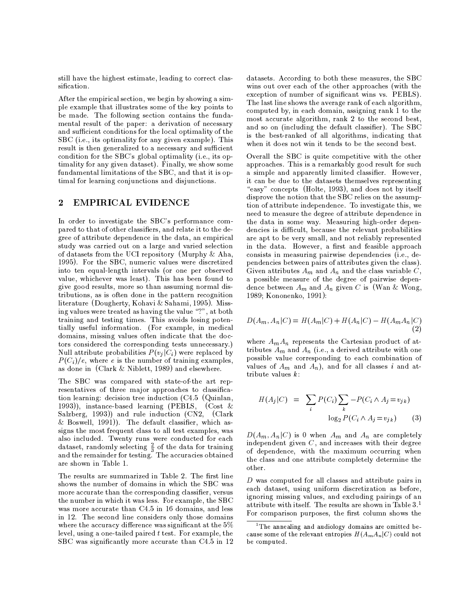still have the highest estimate, leading to correct classification.

After the empirical section, we begin by showing a simple example that illustrates some of the key points to be made. The following section contains the fundamental result of the paper: a derivation of necessary and sufficient conditions for the local optimality of the SBC (i.e., its optimality for any given example). This result is then generalized to a necessary and sufficient condition for the SBC's global optimality (i.e., its optimality for any given dataset). Finally, we show some fundamental limitations of the SBC, and that it is optimal for learning conjunctions and disjunctions.

#### $\overline{2}$ **EMPIRICAL EVIDENCE**

In order to investigate the SBC's performance compared to that of other classifiers, and relate it to the degree of attribute dependence in the data, an empirical study was carried out on a large and varied selection of datasets from the UCI repository (Murphy  $\&$  Aha, 1995). For the SBC, numeric values were discretized into ten equal-length intervals (or one per observed value, whichever was least). This has been found to give good results, more so than assuming normal distributions, as is often done in the pattern recognition literature (Dougherty, Kohavi & Sahami, 1995). Missing values were treated as having the value "?", at both training and testing times. This avoids losing potentially useful information. (For example, in medical domains, missing values often indicate that the doctors considered the corresponding tests unnecessary.) Null attribute probabilities  $P(v_i|C_i)$  were replaced by  $P(C_i)/e$ , where e is the number of training examples, as done in (Clark  $&$  Niblett, 1989) and elsewhere.

The SBC was compared with state-of-the art representatives of three major approaches to classification learning: decision tree induction  $(C4.5)$  (Quinlan, 1993)), instance-based learning (PEBLS,  $(Cost &$ Salzberg, 1993)) and rule induction (CN2, (Clark & Boswell,  $1991$ ). The default classifier, which assigns the most frequent class to all test examples, was also included. Twenty runs were conducted for each dataset, randomly selecting  $\frac{2}{3}$  of the data for training and the remainder for testing. The accuracies obtained are shown in Table 1.

The results are summarized in Table 2. The first line shows the number of domains in which the SBC was more accurate than the corresponding classifier, versus the number in which it was less. For example, the SBC was more accurate than C4.5 in 16 domains, and less in 12. The second line considers only those domains where the accuracy difference was significant at the 5% level, using a one-tailed paired  $t$  test. For example, the SBC was significantly more accurate than C4.5 in 12

datasets. According to both these measures, the SBC wins out over each of the other approaches (with the exception of number of significant wins vs. PEBLS). The last line shows the average rank of each algorithm, computed by, in each domain, assigning rank 1 to the most accurate algorithm, rank 2 to the second best, and so on (including the default classifier). The SBC is the best-ranked of all algorithms, indicating that when it does not win it tends to be the second best.

Overall the SBC is quite competitive with the other approaches. This is a remarkably good result for such a simple and apparently limited classifier. However, it can be due to the datasets themselves representing "easy" concepts (Holte, 1993), and does not by itself disprove the notion that the SBC relies on the assumption of attribute independence. To investigate this, we need to measure the degree of attribute dependence in the data in some way. Measuring high-order dependencies is difficult, because the relevant probabilities are apt to be very small, and not reliably represented in the data. However, a first and feasible approach consists in measuring pairwise dependencies (i.e., dependencies between pairs of attributes given the class). Given attributes  $A_m$  and  $A_n$  and the class variable C, a possible measure of the degree of pairwise dependence between  $A_m$  and  $A_n$  given C is (Wan & Wong, 1989; Kononenko, 1991):

$$
D(A_m, A_n | C) = H(A_m | C) + H(A_n | C) - H(A_m A_n | C)
$$
\n(2)

where  $A_m A_n$  represents the Cartesian product of attributes  $A_m$  and  $A_n$  (i.e., a derived attribute with one possible value corresponding to each combination of values of  $A_m$  and  $A_n$ ), and for all classes i and attribute values  $k$ :

$$
H(A_j|C) = \sum_i P(C_i) \sum_k -P(C_i \wedge A_j = v_{jk})
$$
  

$$
\log_2 P(C_i \wedge A_j = v_{jk})
$$
 (3)

 $D(A_m, A_n | C)$  is 0 when  $A_m$  and  $A_n$  are completely independent given  $C$ , and increases with their degree of dependence, with the maximum occurring when the class and one attribute completely determine the other.

D was computed for all classes and attribute pairs in each dataset, using uniform discretization as before, ignoring missing values, and excluding pairings of an attribute with itself. The results are shown in Table 3.<sup>1</sup> For comparison purposes, the first column shows the

<sup>&</sup>lt;sup>1</sup>The annealing and audiology domains are omitted because some of the relevant entropies  $H(A_mA_n|C)$  could not be computed.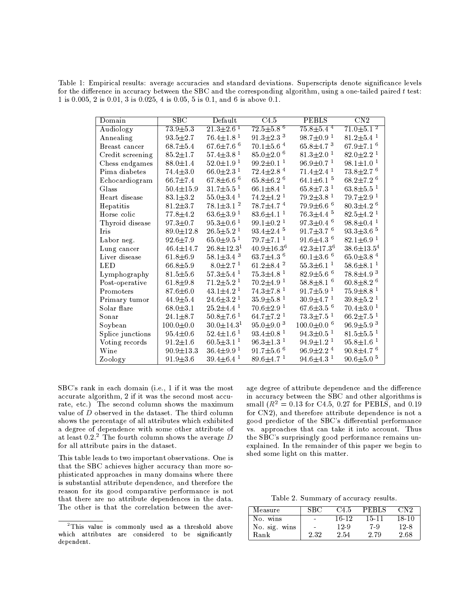Table 1: Empirical results: average accuracies and standard deviations. Superscripts denote significance levels for the difference in accuracy between the SBC and the corresponding algorithm, using a one-tailed paired  $t$  test: 1 is 0.005, 2 is 0.01, 3 is 0.025, 4 is 0.05, 5 is 0.1, and 6 is above 0.1.

| Domain                 | $_{\rm SBC}$    | Default                     | C4.5                        | <b>PEBLS</b>                 | $\overline{\text{CN2}}$     |
|------------------------|-----------------|-----------------------------|-----------------------------|------------------------------|-----------------------------|
| Audiology              | $73.9 + 5.3$    | $21.3 \pm 2.6$ <sup>1</sup> | $72.5 \pm 5.8$ <sup>6</sup> | $75.8 \pm 5.4$ <sup>4</sup>  | $71.0 \pm 5.1$ <sup>2</sup> |
| Annealing              | $93.5 \pm 2.7$  | $76.4 + 1.8$ <sup>1</sup>   | $91.3 \pm 2.3$ <sup>3</sup> | $98.7 + 0.9$ <sup>1</sup>    | $81.2 \pm 5.4$ <sup>1</sup> |
| Breast cancer          | $68.7 \pm 5.4$  | 67.6 $\pm$ 7.6 <sup>6</sup> | $70.1 \pm 5.6$ <sup>4</sup> | $65.8 \pm 4.7$ <sup>3</sup>  | 67.9 $\pm$ 7.1 <sup>6</sup> |
| Credit screening       | $85.2 + 1.7$    | $57.4 + 3.8$ <sup>1</sup>   | $85.0 \pm 2.0$ <sup>6</sup> | $81.3 + 2.0$ <sup>1</sup>    | $82.0 \pm 2.2$ <sup>1</sup> |
| Chess endgames         | $88.0 \pm 1.4$  | $52.0 \pm 1.9$ <sup>1</sup> | $99.2 \pm 0.1$ <sup>1</sup> | $96.9 \pm 0.7$ $^1$          | $98.1 \pm 1.0$ <sup>1</sup> |
| Pima diabetes          | $74.4 \pm 3.0$  | $66.0 \pm 2.3$ <sup>1</sup> | $72.4 \pm 2.8$ <sup>4</sup> | $71.4 \pm 2.4$ <sup>1</sup>  | $73.8 \pm 2.7$ <sup>6</sup> |
| Echocardiogram         | $66.7 \pm 7.4$  | 67.8 $\pm$ 6.6 <sup>6</sup> | $65.8 \pm 6.2$ <sup>6</sup> | 64.1 $\pm$ 6.1 $^5$          | $68.2 \pm 7.2$ <sup>6</sup> |
| Glass                  | $50.4 \pm 15.9$ | $31.7 + 5.5$ <sup>1</sup>   | $66.1 \pm 8.4$ <sup>1</sup> | $65.8 \pm 7.3$ <sup>1</sup>  | $63.8 \pm 5.5$ <sup>1</sup> |
| Heart disease          | $83.1 \pm 3.2$  | $55.0 \pm 3.4$ <sup>1</sup> | $74.2 + 4.2$ <sup>1</sup>   | $79.2 \pm 3.8$ <sup>1</sup>  | $79.7 \pm 2.9$ <sup>1</sup> |
| Hepatitis              | $81.2 \pm 3.7$  | $78.1 \pm 3.1$ $^2$         | $78.7 \pm 4.7$ <sup>4</sup> | $79.9 \pm 6.6$ <sup>6</sup>  | $80.3 \pm 4.2$ <sup>6</sup> |
| Horse colic            | $77.8 + 4.2$    | $63.6 \pm 3.9$ <sup>1</sup> | $83.6 \pm 4.1$ <sup>1</sup> | $76.3 \pm 4.4$ <sup>5</sup>  | $82.5 \pm 4.2$ <sup>1</sup> |
| Thyroid disease        | $97.3 \pm 0.7$  | $95.3 + 0.6$ <sup>1</sup>   | $99.1 + 0.2$ <sup>1</sup>   | $97.3 \pm 0.4$ <sup>6</sup>  | $98.8 \pm 0.4$ <sup>1</sup> |
| <b>Iris</b>            | $89.0 \pm 12.8$ | $26.5 \pm 5.2$ <sup>1</sup> | $93.4 \pm 2.4$ <sup>5</sup> | $91.7 \pm 3.7$ <sup>6</sup>  | $93.3 \pm 3.6$ <sup>5</sup> |
| Labor neg.             | $92.6 \pm 7.9$  | 65.0 $\pm$ 9.5 <sup>1</sup> | $79.7 \pm 7.1$ <sup>1</sup> | 91.6 $\pm$ 4.3 <sup>6</sup>  | $82.1 \pm 6.9$ <sup>1</sup> |
| Lung cancer            | $46.4 \pm 14.7$ | $26.8 \pm 12.3^1$           | $40.9 \pm 16.3^6$           | $42.3 \pm 17.3^6$            | $38.6 \pm 13.5^4$           |
| Liver disease          | $61.8 \pm 6.9$  | $58.1 \pm 3.4$ <sup>3</sup> | 63.7 $\pm$ 4.3 <sup>6</sup> | 60.1 $\pm$ 3.6 <sup>6</sup>  | 65.0 $\pm$ 3.8 <sup>4</sup> |
| LED                    | $66.8 + 5.9$    | $8.0 \pm 2.7$ <sup>1</sup>  | $61.2 \pm 8.4$ <sup>2</sup> | $55.3 + 6.1$ <sup>1</sup>    | $58.6 \pm 8.1$ <sup>1</sup> |
| Lymphography           | $81.5 + 5.6$    | $57.3 \pm 5.4$ <sup>1</sup> | $75.3 \pm 4.8$ <sup>1</sup> | $82.9 \pm 5.6$ <sup>6</sup>  | $78.8 \pm 4.9$ <sup>3</sup> |
| Post-operative         | 61.8 $\pm$ 9.8  | $71.2 + 5.2$ <sup>1</sup>   | $70.2 \pm 4.9$ <sup>1</sup> | $58.8 + 8.1$ <sup>6</sup>    | $60.8 \pm 8.2$ <sup>6</sup> |
| Promoters              | $87.6 \pm 6.0$  | $43.1 \pm 4.2$ <sup>1</sup> | $74.3 \pm 7.8$ <sup>1</sup> | $91.7 \pm 5.9$ <sup>1</sup>  | $75.9 \pm 8.8$ <sup>1</sup> |
| Primary tumor          | $44.9 \pm 5.4$  | $24.6 \pm 3.2$ <sup>1</sup> | $35.9 \pm 5.8$ <sup>1</sup> | $30.9 \pm 4.7$ $^1$          | $39.8 \pm 5.2$ <sup>1</sup> |
| Solar flare            | $68.0 + 3.1$    | $25.2 \pm 4.4$ <sup>1</sup> | $70.6 \pm 2.9$ <sup>1</sup> | 67.6 $\pm$ 3.5 <sup>6</sup>  | $70.4 \pm 3.0$ <sup>1</sup> |
| $\operatorname{Sonar}$ | $24.1 \pm 8.7$  | $50.8 \pm 7.6$ <sup>1</sup> | $64.7 \pm 7.2$ <sup>1</sup> | $73.3 \pm 7.5$ <sup>1</sup>  | $66.2 \pm 7.5$ <sup>1</sup> |
| Soybean                | $100.0 \pm 0.0$ | $30.0 + 14.31$              | $95.0 \pm 9.0$ <sup>3</sup> | $100.0 \pm 0.0$ <sup>6</sup> | $96.9 \pm 5.9$ <sup>3</sup> |
| Splice junctions       | $95.4 \pm 0.6$  | $52.4 \pm 1.6$ <sup>1</sup> | $93.4 \pm 0.8$ <sup>1</sup> | $94.3 \pm 0.5$ <sup>1</sup>  | $81.5 \pm 5.5$ <sup>1</sup> |
| Voting records         | $91.2 \pm 1.6$  | $60.5 \pm 3.1$ <sup>1</sup> | $96.3 \pm 1.3$ <sup>1</sup> | $94.9 \pm 1.2$ <sup>1</sup>  | $95.8 \pm 1.6$ <sup>1</sup> |
| Wine                   | $90.9 \pm 13.3$ | $36.4 \pm 9.9$ <sup>1</sup> | 91.7 $\pm$ 5.6 <sup>6</sup> | $96.9 \pm 2.2$ <sup>4</sup>  | $90.8 \pm 4.7$ <sup>6</sup> |
| Zoology                | $91.9 \pm 3.6$  | $39.4 \pm 6.4$ <sup>1</sup> | $89.6 \pm 4.7$ <sup>1</sup> | $94.6 \pm 4.3$ <sup>1</sup>  | $90.6 \pm 5.0$ <sup>5</sup> |

SBC's rank in each domain (i.e., 1 if it was the most accurate algorithm, 2 if it was the second most accurate, etc.) The second column shows the maximum value of D observed in the dataset. The third column shows the percentage of all attributes which exhibited a degree of dependence with some other attribute of at least  $0.2$ .<sup>2</sup> The fourth column shows the average  $D$ for all attribute pairs in the dataset.

This table leads to two important observations. One is that the SBC achieves higher accuracy than more sophisticated approaches in many domains where there is substantial attribute dependence, and therefore the reason for its good comparative performance is not that there are no attribute dependences in the data. The other is that the correlation between the aver-

age degree of attribute dependence and the difference in accuracy between the SBC and other algorithms is small ( $R^2 = 0.13$  for C4.5, 0.27 for PEBLS, and 0.19 for CN2), and therefore attribute dependence is not a good predictor of the SBC's differential performance vs. approaches that can take it into account. Thus the SBC's surprisingly good performance remains unexplained. In the remainder of this paper we begin to shed some light on this matter.

Table 2. Summary of accuracy results.

| Measure       |        | - 14.5 | PERLS     | CN2   |
|---------------|--------|--------|-----------|-------|
| No. wins      | $\sim$ | 16-12  | $15 - 11$ | 18-10 |
| No. sig. wins |        | 12-9   | 7-9       | 12-8  |
| Rank          | 2.32   | 2.54   | 2.79      | 2.68  |

<sup>&</sup>lt;sup>2</sup>This value is commonly used as a threshold above which attributes are considered to be significantly dependent.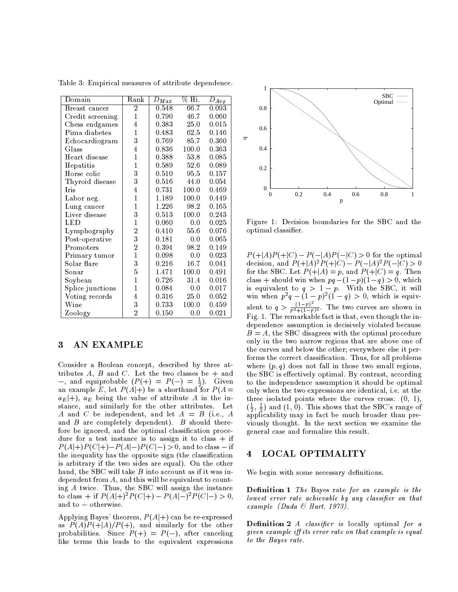| Domain           | Rank           | $D_{Max}$ | $\%$ Hi. | $\overline{D_{Avg}}$ |
|------------------|----------------|-----------|----------|----------------------|
| Breast cancer    | $\overline{2}$ | 0.548     | 66.7     | 0.093                |
| Credit screening | $\mathbf 1$    | 0.790     | 46.7     | 0.060                |
| Chess endgames   | $\overline{4}$ | 0.383     | 25.0     | 0.015                |
| Pima diabetes    | $\mathbf{1}$   | 0.483     | 62.5     | 0.146                |
| Echocardiogram   | 3              | 0.769     | 85.7     | 0.360                |
| Glass            | $\overline{4}$ | 0.836     | 100.0    | 0.363                |
| Heart disease    | $\mathbf 1$    | 0.388     | 53.8     | 0.085                |
| Hepatitis        | $\mathbf{1}$   | 0.589     | 52.6     | 0.089                |
| Horse colic      | 3              | 0.510     | 95.5     | 0.157                |
| Thyroid disease  | 3              | 0.516     | 44.0     | 0.054                |
| <b>Tris</b>      | 4              | 0.731     | 100.0    | 0.469                |
| Labor neg.       | $\mathbf{1}$   | 1.189     | 100.0    | 0.449                |
| Lung cancer      | $\mathbf{1}$   | 1.226     | 98.2     | 0.165                |
| Liver disease    | 3              | 0.513     | 100.0    | 0.243                |
| LED              | $\mathbf{1}$   | 0.060     | 0.0      | 0.025                |
| Lymphography     | $\overline{2}$ | 0.410     | 55.6     | 0.076                |
| Post-operative   | 3              | 0.181     | 0.0      | 0.065                |
| Promoters        | $\overline{2}$ | 0.394     | 98.2     | 0.149                |
| Primary tumor    | $\overline{1}$ | 0.098     | 0.0      | 0.023                |
| Solar flare      | 3              | 0.216     | 16.7     | 0.041                |
| Sonar            | $\overline{5}$ | 1.471     | 100.0    | 0.491                |
| Soybean          | $\mathbf{1}$   | 0.726     | 31.4     | 0.016                |
| Splice junctions | $\mathbf{1}$   | 0.084     | 0.0      | 0.017                |
| Voting records   | $\overline{4}$ | 0.316     | 25.0     | 0.052                |
| $\rm{Wine}$      | 3              | 0.733     | 100.0    | 0.459                |
| Zoology          | $\overline{2}$ | 0.150     | 0.0      | 0.021                |

Table 3: Empirical measures of attribute dependence.

#### AN EXAMPLE 3

Consider a Boolean concept, described by three attributes  $A$ ,  $B$  and  $C$ . Let the two classes be + and -, and equiprobable  $(P(+)) = P(-) = \frac{1}{2}$ . Given<br>an example E, let  $P(A|+)$  be a shorthand for  $P(A=$  $a_E|+)$ ,  $a_E$  being the value of attribute A in the instance, and similarly for the other attributes. Let A and C be independent, and let  $A = B$  (i.e., A and  $B$  are completely dependent).  $B$  should therefore be ignored, and the optimal classification procedure for a test instance is to assign it to class  $+$  if  $P(A|+)P(C|+) - P(A|-)P(C|-) > 0$ , and to class – if the inequality has the opposite sign (the classification is arbitrary if the two sides are equal). On the other hand, the SBC will take  $B$  into account as if it was independent from  $A$ , and this will be equivalent to counting A twice. Thus, the SBC will assign the instance to class + if  $P(A|+)^2 P(C|+) - P(A|-)^2 P(C|-) > 0$ , and to - otherwise.

Applying Bayes' theorem,  $P(A|+)$  can be re-expressed as  $P(A)P(+|A)/P(+)$ , and similarly for the other probabilities. Since  $P(+) = P(-)$ , after canceling like terms this leads to the equivalent expressions



Figure 1: Decision boundaries for the SBC and the optimal classifier.

 $P(+|A)P(+|C) - P(-|A)P(-|C) > 0$  for the optimal decision, and  $P(+|A)^2P(+|C) - P(-|A)^2P(-|C) > 0$ for the SBC. Let  $P(+|A) = p'$ , and  $P(+|C) = q'$ . Then<br>class + should win when  $pq - (1-p)(1-q) > 0$ , which is equivalent to  $q > 1 - p$ . With the SBC, it will<br>win when  $p^2q - (1 - p)^2(1 - q) > 0$ , which is equiv-<br>alent to  $q > \frac{(1-p)^2}{p^2+(1-p)^2}$ . The two curves are shown in<br>Fig. 1. The remarkable fact is that, even though the independence assumption is decisively violated because  $B = A$ , the SBC disagrees with the optimal procedure only in the two narrow regions that are above one of the curves and below the other; everywhere else it performs the correct classification. Thus, for all problems where  $(p, q)$  does not fall in those two small regions, the SBC is effectively optimal. By contrast, according to the independence assumption it should be optimal only when the two expressions are identical, i.e. at the three isolated points where the curves cross:  $(0, 1)$ ,  $(\frac{1}{2}, \frac{1}{2})$  and  $(1, 0)$ . This shows that the SBC's range of applicability may in fact be much broader than previously thought. In the next section we examine the general case and formalize this result.

#### $\overline{\mathbf{4}}$ LOCAL OPTIMALITY

We begin with some necessary definitions.

**Definition 1** The Bayes rate for an example is the lowest error rate achievable by any classifier on that example (Duda & Hart, 1973).

**Definition 2** A classifier is locally optimal for a given example iff its error rate on that example is equal to the Bayes rate.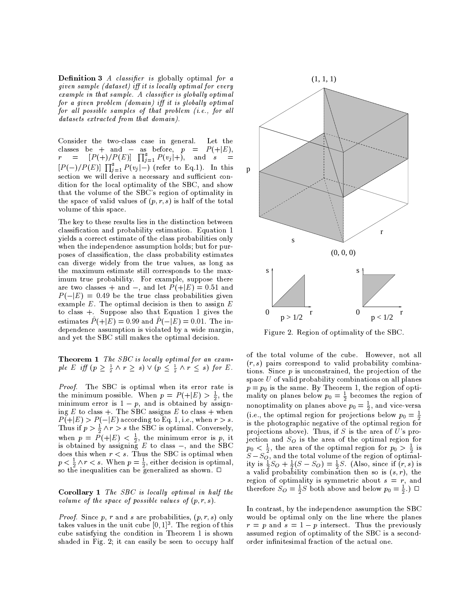**Definition 3** A classifier is globally optimal for a given sample (dataset) iff it is locally optimal for every example in that sample. A classifier is globally optimal for a given problem (domain) iff it is globally optimal for all possible samples of that problem (i.e., for all datasets extracted from that domain).

Consider the two-class case in general. Let the classes be + and - as before,  $p =$  $P(+|E),$  $r = [P(+)/P(E)] \prod_{j=1}^{a} P(v_j|+)$ , and  $s = [P(-)/P(E)] \prod_{j=1}^{a} P(v_j|-)$  (refer to Eq.1). In this section we will derive a necessary and sufficient condition for the local optimality of the SBC, and show that the volume of the SBC's region of optimality in the space of valid values of  $(p, r, s)$  is half of the total volume of this space.

The key to these results lies in the distinction between classification and probability estimation. Equation 1 yields a correct estimate of the class probabilities only when the independence assumption holds; but for purposes of classification, the class probability estimates can diverge widely from the true values, as long as the maximum estimate still corresponds to the maximum true probability. For example, suppose there are two classes + and -, and let  $P(+|E) = 0.51$  and  $P(-|E) = 0.49$  be the true class probabilities given example  $E$ . The optimal decision is then to assign  $E$ to class  $+$ . Suppose also that Equation 1 gives the estimates  $\hat{P}(+|E) = 0.99$  and  $\hat{P}(-|E) = 0.01$ . The independence assumption is violated by a wide margin, and yet the SBC still makes the optimal decision.

**Theorem 1** The SBC is locally optimal for an example E iff  $(p \geq \frac{1}{2} \land r \geq s) \lor (p \leq \frac{1}{2} \land r \leq s)$  for E.

Proof. The SBC is optimal when its error rate is the minimum possible. When  $p = P(+|E) > \frac{1}{2}$ , the minimum error is  $1 - p$ , and is obtained by assigning E to class +. The SBC assigns E to class + when  $P(+|E) > P(-|E)$  according to Eq. 1, i.e., when  $r > s$ . Thus if  $p > \frac{1}{2} \wedge r > s$  the SBC is optimal. Conversely, when  $p = \tilde{P}(+|E) < \frac{1}{2}$ , the minimum error is p, it<br>is obtained by assigning E to class –, and the SBC does this when  $r < s$ . Thus the SBC is optimal when  $p < \frac{1}{2} \land r < s$ . When  $p = \frac{1}{2}$ , either decision is optimal, so the inequalities can be generalized as shown.  $\Box$ 

**Corollary 1** The SBC is locally optimal in half the volume of the space of possible values of  $(p, r, s)$ .

*Proof.* Since p, r and s are probabilities,  $(p, r, s)$  only takes values in the unit cube  $[0, 1]^3$ . The region of this cube satisfying the condition in Theorem 1 is shown shaded in Fig. 2; it can easily be seen to occupy half



Figure 2. Region of optimality of the SBC.

of the total volume of the cube. However, not all  $(r, s)$  pairs correspond to valid probability combinations. Since  $p$  is unconstrained, the projection of the space  $U$  of valid probability combinations on all planes  $p = p_0$  is the same. By Theorem 1, the region of optimality on planes below  $p_0 = \frac{1}{2}$  becomes the region of nonoptimality on planes above  $p_0 = \frac{1}{2}$ , and vice-versa (i.e., the optimal region for projections below  $p_0 = \frac{1}{2}$ is the photographic negative of the optimal region for projections above). Thus, if S is the area of U's projection and  $S_O$  is the area of the optimal region for  $p_0 < \frac{1}{2}$ , the area of the optimal region for  $p_0 > \frac{1}{2}$  is  $S-S_0^2$ , and the total volume of the region of optimality is  $\frac{1}{2}S_O + \frac{1}{2}(S-S_0) = \frac{1}{2}S$ . (Also, since if  $(r, s)$  is a valid probability combination then so is  $(s, r)$ , the region of optimality is symmetric about  $s = r$ , and<br>therefore  $S_O = \frac{1}{2}S$  both above and below  $p_0 = \frac{1}{2}$ .)  $\Box$ 

In contrast, by the independence assumption the SBC would be optimal only on the line where the planes  $r = p$  and  $s = 1 - p$  intersect. Thus the previously assumed region of optimality of the SBC is a secondorder infinitesimal fraction of the actual one.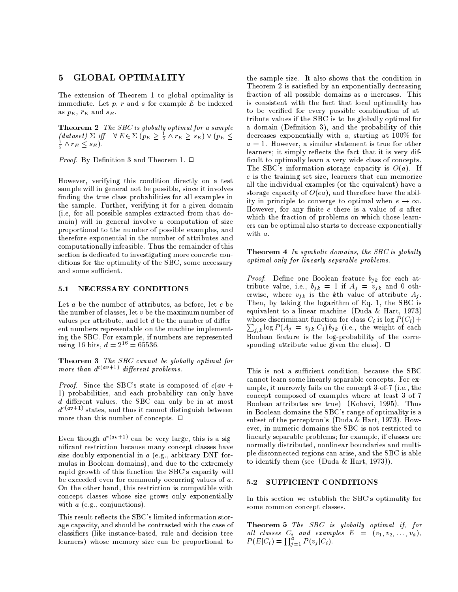#### **GLOBAL OPTIMALITY**  $\mathbf{5}$

The extension of Theorem 1 to global optimality is immediate. Let  $p$ ,  $r$  and  $s$  for example  $E$  be indexed as  $p_E$ ,  $r_E$  and  $s_E$ .

Theorem 2 The SBC is globally optimal for a sample (dataset)  $\Sigma$  iff  $\forall E \in \Sigma$   $(p_E \geq \frac{1}{2} \land r_E \geq s_E) \lor (p_E \leq$  $\frac{1}{2} \wedge r_E \leq s_E$ .

*Proof.* By Definition 3 and Theorem 1.  $\Box$ 

However, verifying this condition directly on a test sample will in general not be possible, since it involves finding the true class probabilities for all examples in the sample. Further, verifying it for a given domain (i.e, for all possible samples extracted from that domain) will in general involve a computation of size proportional to the number of possible examples, and therefore exponential in the number of attributes and computationally infeasible. Thus the remainder of this section is dedicated to investigating more concrete conditions for the optimality of the SBC, some necessary and some sufficient.

#### NECESSARY CONDITIONS  $5.1$

Let  $a$  be the number of attributes, as before, let  $c$  be the number of classes, let  $v$  be the maximum number of values per attribute, and let  $d$  be the number of different numbers representable on the machine implementing the SBC. For example, if numbers are represented using 16 bits,  $d = 2^{16} = 65536$ .

Theorem 3 The SBC cannot be globally optimal for more than  $d^{c(av+1)}$  different problems.

*Proof.* Since the SBC's state is composed of  $c(av +$ 1) probabilities, and each probability can only have d different values, the SBC can only be in at most  $d^{c(av+1)}$  states, and thus it cannot distinguish between more than this number of concepts.  $\Box$ 

Even though  $d^{c(av+1)}$  can be very large, this is a significant restriction because many concept classes have size doubly exponential in  $a$  (e.g., arbitrary DNF formulas in Boolean domains), and due to the extremely rapid growth of this function the SBC's capacity will be exceeded even for commonly-occurring values of  $a$ . On the other hand, this restriction is compatible with concept classes whose size grows only exponentially with  $a$  (e.g., conjunctions).

This result reflects the SBC's limited information storage capacity, and should be contrasted with the case of classifiers (like instance-based, rule and decision tree learners) whose memory size can be proportional to

the sample size. It also shows that the condition in Theorem 2 is satisfied by an exponentially decreasing fraction of all possible domains as  $a$  increases. This is consistent with the fact that local optimality has to be verified for every possible combination of attribute values if the SBC is to be globally optimal for a domain (Definition 3), and the probability of this decreases exponentially with  $a$ , starting at 100% for  $a=1$ . However, a similar statement is true for other learners; it simply reflects the fact that it is very difficult to optimally learn a very wide class of concepts. The SBC's information storage capacity is  $O(a)$ . If  $e$  is the training set size, learners that can memorize all the individual examples (or the equivalent) have a storage capacity of  $O(ea)$ , and therefore have the ability in principle to converge to optimal when  $e \rightarrow \infty$ . However, for any finite  $e$  there is a value of  $a$  after which the fraction of problems on which those learners can be optimal also starts to decrease exponentially with a.

**Theorem 4** In symbolic domains, the SBC is globally optimal only for linearly separable problems.

*Proof.* Define one Boolean feature  $b_{ik}$  for each attribute value, i.e.,  $b_{jk} = 1$  if  $A_j = v_{jk}$  and 0 otherwise, where  $v_{jk}$  is the kth value of attribute  $A_j$ . Then, by taking the logarithm of Eq. 1, the SBC is equivalent to a linear machine (Duda & Hart, 1973) whose discriminant function for class  $C_i$  is  $\log P(C_i)$  +  $\sum_{j,k} \log P(A_j = v_{jk} | C_i) b_{jk}$  (i.e., the weight of each Boolean feature is the log-probability of the corresponding attribute value given the class).  $\Box$ 

This is not a sufficient condition, because the SBC cannot learn some linearly separable concepts. For example, it narrowly fails on the concept 3-of-7 (i.e., the concept composed of examples where at least 3 of 7 Boolean attributes are true) (Kohavi, 1995). Thus in Boolean domains the SBC's range of optimality is a subset of the perceptron's (Duda & Hart, 1973). However, in numeric domains the SBC is not restricted to linearly separable problems; for example, if classes are normally distributed, nonlinear boundaries and multiple disconnected regions can arise, and the SBC is able to identify them (see (Duda & Hart, 1973)).

#### 5.2 SUFFICIENT CONDITIONS

In this section we establish the SBC's optimality for some common concept classes.

**Theorem 5** The SBC is globally optimal if, for all classes  $C_i$  and examples  $E = (v_1, v_2, \ldots, v_a)$ ,<br> $P(E|C_i) = \prod_{j=1}^a P(v_j|C_i)$ .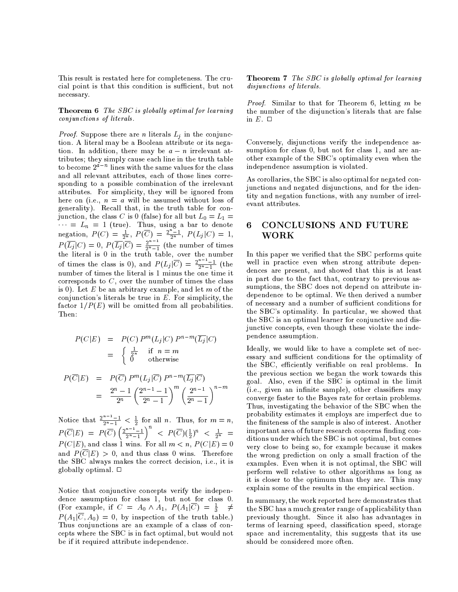This result is restated here for completeness. The crucial point is that this condition is sufficient, but not necessary.

**Theorem 6** The SBC is globally optimal for learning conjunctions of literals.

*Proof.* Suppose there are *n* literals  $L_j$  in the conjunction. A literal may be a Boolean attribute or its negation. In addition, there may be  $a - n$  irrelevant attributes; they simply cause each line in the truth table to become  $2^{a-n}$  lines with the same values for the class and all relevant attributes, each of those lines corresponding to a possible combination of the irrelevant attributes. For simplicity, they will be ignored from here on (i.e.,  $n = a$  will be assumed without loss of generality). Recall that, in the truth table for conjunction, the class C is 0 (false) for all but  $L_0 = L_1 =$ Junction, the class C is 0 (take) for all but  $L_0 = L_1 =$ <br>  $\cdots = L_n = 1$  (true). Thus, using a bar to denote<br>
negation,  $P(C) = \frac{1}{2^n}$ ,  $P(\overline{C}) = \frac{2^n-1}{2^n}$ ,  $P(L_j|C) = 1$ ,<br>  $P(\overline{L_j}|C) = 0$ ,  $P(\overline{L_j}|\overline{C}) = \frac{2^{n-1}}{2^n-1}$  ( corresponds to  $C$ , over the number of times the class is 0). Let E be an arbitrary example, and let m of the conjunction's literals be true in  $E$ . For simplicity, the factor  $1/P(E)$  will be omitted from all probabilities. Then:

$$
P(C|E) = P(C) Pm(Lj|C) Pn-m(\overline{Lj}|C)
$$
  
= 
$$
\begin{cases} \frac{1}{2^n} & \text{if } n = m \\ 0 & \text{otherwise} \end{cases}
$$
  

$$
P(\overline{C}|E) = P(\overline{C}) Pm(Lj|\overline{C}) Pn-m(\overline{Lj}|\overline{C})
$$

$$
I(C|E) = I(C) I (L_j|C) I (L_j|C)
$$
  
= 
$$
\frac{2^n - 1}{2^n} \left(\frac{2^{n-1} - 1}{2^n - 1}\right)^m \left(\frac{2^{n-1}}{2^n - 1}\right)^{n-m}
$$

Notice that  $\frac{2^{n-1}-1}{2^{n}-1} < \frac{1}{2}$  for all *n*. Thus, for  $m = n$ ,<br>  $P(\overline{C}|E) = P(\overline{C}) \left(\frac{2^{n-1}-1}{2^{n}-1}\right)^n < P(\overline{C})(\frac{1}{2})^n < \frac{1}{2^n}$  $P(C|E)$ , and class 1 wins. For all  $m < n$ ,  $P(C|E) = 0$ and  $P(\overline{C}|E) > 0$ , and thus class 0 wins. Therefore the SBC always makes the correct decision, i.e., it is globally optimal. □

Notice that conjunctive concepts verify the independence assumption for class 1, but not for class 0. (For example, if  $C = A_0 \wedge A_1$ ,  $P(A_1|\overline{C}) = \frac{1}{3}$   $\neq$  $P(A_1|\overline{C}, A_0) = 0$ , by inspection of the truth table.) Thus conjunctions are an example of a class of concepts where the SBC is in fact optimal, but would not be if it required attribute independence.

**Theorem 7** The SBC is globally optimal for learning disjunctions of literals.

*Proof.* Similar to that for Theorem 6, letting m be the number of the disjunction's literals that are false in  $E$ .  $\Box$ 

Conversely, disjunctions verify the independence assumption for class 0, but not for class 1, and are another example of the SBC's optimality even when the independence assumption is violated.

As corollaries, the SBC is also optimal for negated conjunctions and negated disjunctions, and for the identity and negation functions, with any number of irrelevant attributes.

### 6 **CONCLUSIONS AND FUTURE WORK**

In this paper we verified that the SBC performs quite well in practice even when strong attribute dependences are present, and showed that this is at least in part due to the fact that, contrary to previous assumptions, the SBC does not depend on attribute independence to be optimal. We then derived a number of necessary and a number of sufficient conditions for the SBC's optimality. In particular, we showed that the SBC is an optimal learner for conjunctive and disjunctive concepts, even though these violate the independence assumption.

Ideally, we would like to have a complete set of necessary and sufficient conditions for the optimality of the SBC, efficiently verifiable on real problems. In the previous section we began the work towards this goal. Also, even if the SBC is optimal in the limit (i.e., given an infinite sample), other classifiers may converge faster to the Bayes rate for certain problems. Thus, investigating the behavior of the SBC when the probability estimates it employs are imperfect due to the finiteness of the sample is also of interest. Another important area of future research concerns finding conditions under which the SBC is not optimal, but comes very close to being so, for example because it makes the wrong prediction on only a small fraction of the examples. Even when it is not optimal, the SBC will perform well relative to other algorithms as long as it is closer to the optimum than they are. This may explain some of the results in the empirical section.

In summary, the work reported here demonstrates that the SBC has a much greater range of applicability than previously thought. Since it also has advantages in terms of learning speed, classification speed, storage space and incrementality, this suggests that its use should be considered more often.